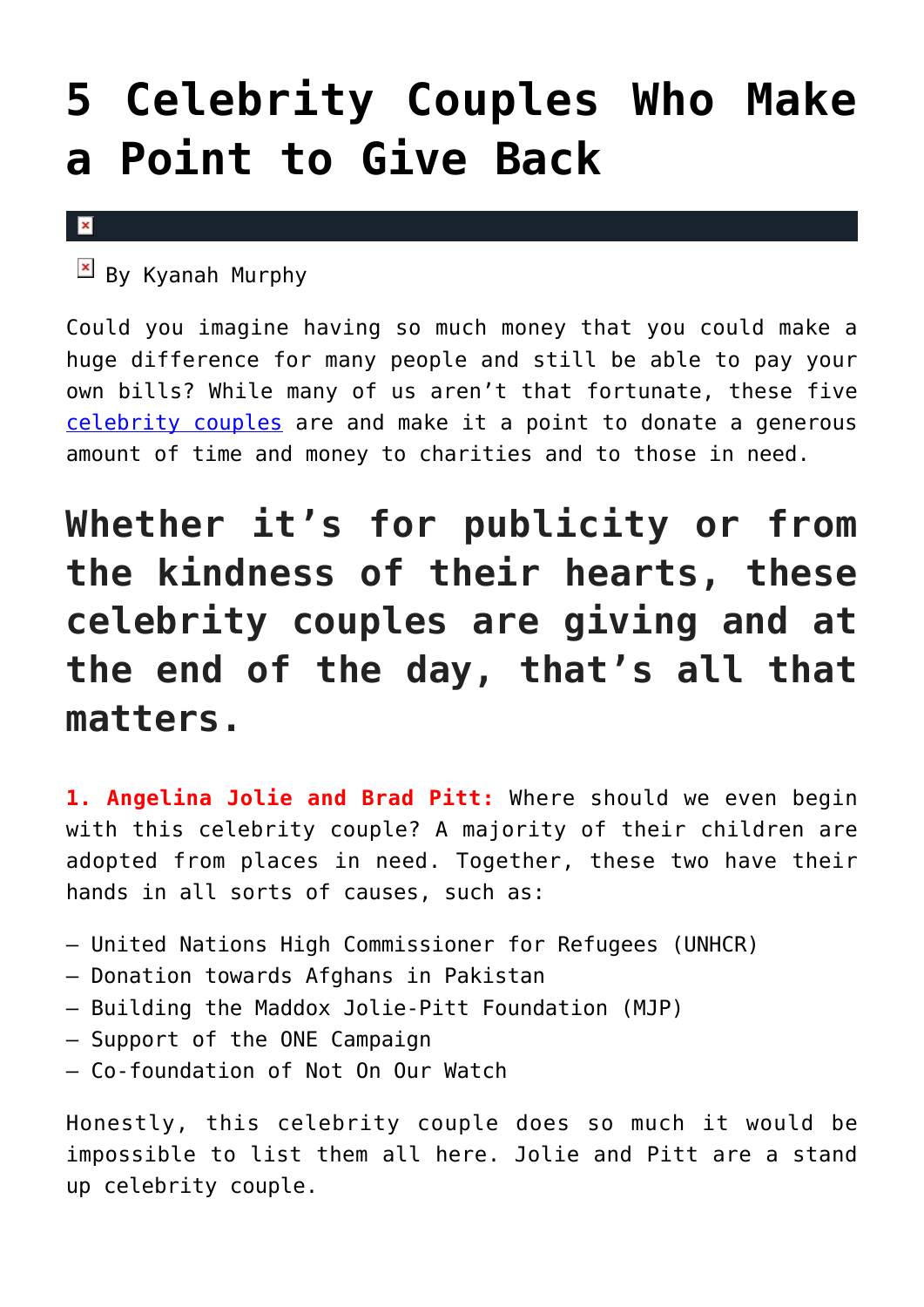## **[5 Celebrity Couples Who Make](https://cupidspulse.com/101455/celebrity-couples-give-back/) [a Point to Give Back](https://cupidspulse.com/101455/celebrity-couples-give-back/)**

## $\vert \mathbf{x} \vert$

 $\overline{B}$  By Kyanah Murphy

Could you imagine having so much money that you could make a huge difference for many people and still be able to pay your own bills? While many of us aren't that fortunate, these five [celebrity couples](http://cupidspulse.com/celebrity-relationships/) are and make it a point to donate a generous amount of time and money to charities and to those in need.

## **Whether it's for publicity or from the kindness of their hearts, these celebrity couples are giving and at the end of the day, that's all that matters.**

**1. Angelina Jolie and Brad Pitt:** Where should we even begin with this celebrity couple? A majority of their children are adopted from places in need. Together, these two have their hands in all sorts of causes, such as:

- United Nations High Commissioner for Refugees (UNHCR)
- Donation towards Afghans in Pakistan
- Building the Maddox Jolie-Pitt Foundation (MJP)
- Support of the ONE Campaign
- Co-foundation of Not On Our Watch

Honestly, this celebrity couple does so much it would be impossible to list them all here. Jolie and Pitt are a stand up celebrity couple.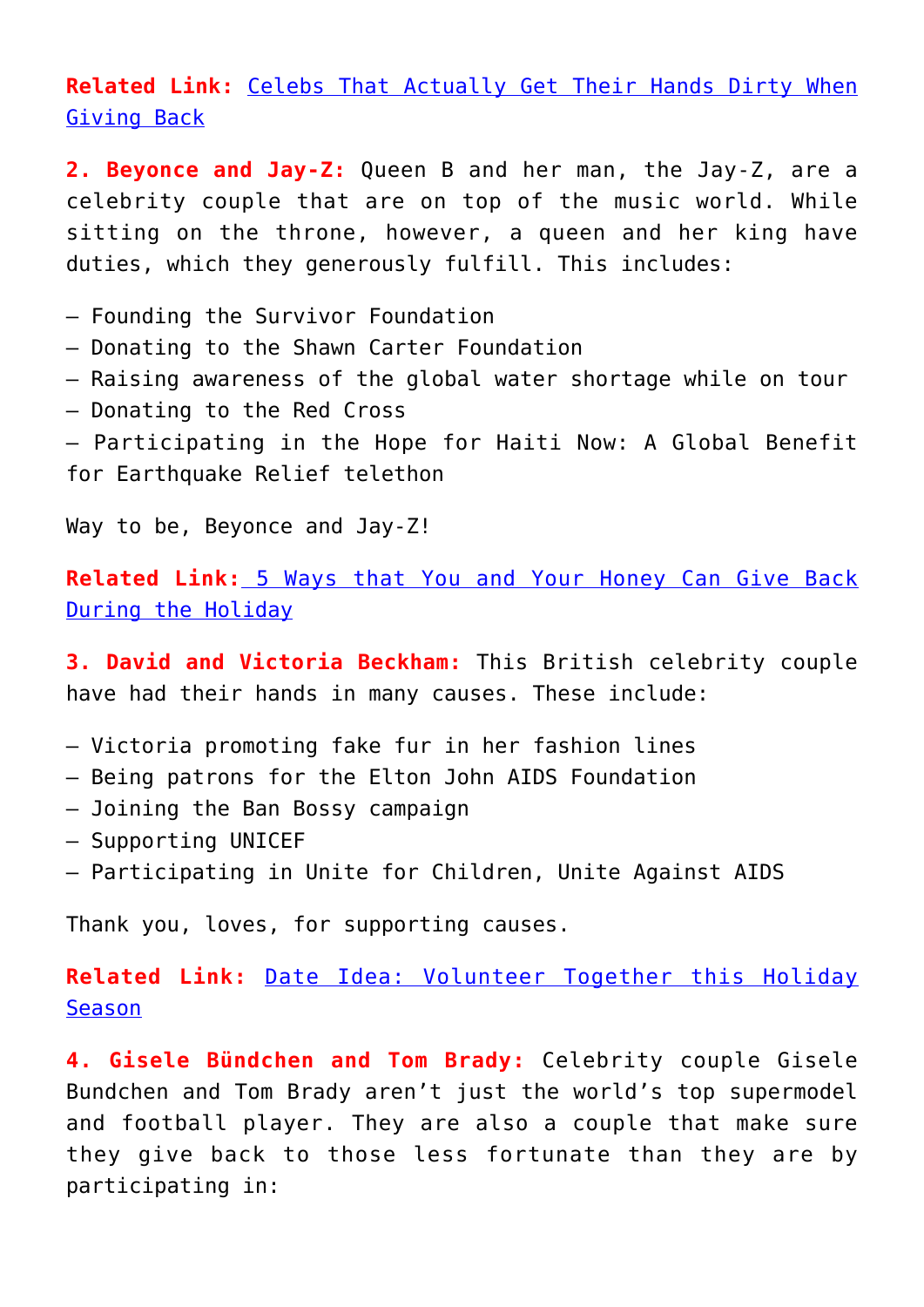## **Related Link:** [Celebs That Actually Get Their Hands Dirty When](http://cupidspulse.com/48622/celebrities-get-hands-dirty-giving-back-charity/#o2x0RArqfApWJ5QJ.99) [Giving Back](http://cupidspulse.com/48622/celebrities-get-hands-dirty-giving-back-charity/#o2x0RArqfApWJ5QJ.99)

**2. Beyonce and Jay-Z:** Queen B and her man, the Jay-Z, are a celebrity couple that are on top of the music world. While sitting on the throne, however, a queen and her king have duties, which they generously fulfill. This includes:

- Founding the Survivor Foundation
- Donating to the Shawn Carter Foundation
- Raising awareness of the global water shortage while on tour
- Donating to the Red Cross
- Participating in the Hope for Haiti Now: A Global Benefit for Earthquake Relief telethon

Way to be, Beyonce and Jay-Z!

**Related Link:** [5 Ways that You and Your Honey Can Give Back](http://cupidspulse.com/39966/5-ways-you-your-honey-give-back-holiday/#agy3lwCvBloUyf4w.99) [During the Holiday](http://cupidspulse.com/39966/5-ways-you-your-honey-give-back-holiday/#agy3lwCvBloUyf4w.99)

**3. David and Victoria Beckham:** This British celebrity couple have had their hands in many causes. These include:

- Victoria promoting fake fur in her fashion lines
- Being patrons for the Elton John AIDS Foundation
- Joining the Ban Bossy campaign
- Supporting UNICEF
- Participating in Unite for Children, Unite Against AIDS

Thank you, loves, for supporting causes.

**Related Link:** [Date Idea: Volunteer Together this Holiday](http://cupidspulse.com/21988/date-idea-volunteer-soup-kitchen-homeless-shelter-together-during-holiday-season/#Y7I1P4FYIOZed8E7.99) [Season](http://cupidspulse.com/21988/date-idea-volunteer-soup-kitchen-homeless-shelter-together-during-holiday-season/#Y7I1P4FYIOZed8E7.99)

**4. Gisele Bündchen and Tom Brady:** Celebrity couple Gisele Bundchen and Tom Brady aren't just the world's top supermodel and football player. They are also a couple that make sure they give back to those less fortunate than they are by participating in: